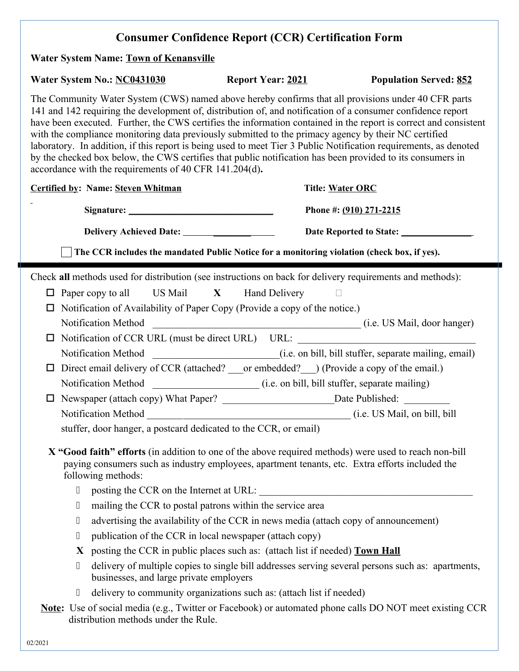## **Consumer Confidence Report (CCR) Certification Form**

### **Water System Name: Town of Kenansville**

## Water System No.: **NC0431030** Report Year: 2021 Population Served: 852

The Community Water System (CWS) named above hereby confirms that all provisions under 40 CFR parts 141 and 142 requiring the development of, distribution of, and notification of a consumer confidence report have been executed. Further, the CWS certifies the information contained in the report is correct and consistent with the compliance monitoring data previously submitted to the primacy agency by their NC certified laboratory. In addition, if this report is being used to meet Tier 3 Public Notification requirements, as denoted by the checked box below, the CWS certifies that public notification has been provided to its consumers in accordance with the requirements of 40 CFR 141.204(d)**.** 

|                                                                                                                                                                                          | <b>Certified by: Name: Steven Whitman</b>                                                                                                    | <b>Title: Water ORC</b>                                                                                 |  |  |  |  |  |  |
|------------------------------------------------------------------------------------------------------------------------------------------------------------------------------------------|----------------------------------------------------------------------------------------------------------------------------------------------|---------------------------------------------------------------------------------------------------------|--|--|--|--|--|--|
|                                                                                                                                                                                          |                                                                                                                                              | Phone #: (910) 271-2215                                                                                 |  |  |  |  |  |  |
|                                                                                                                                                                                          |                                                                                                                                              |                                                                                                         |  |  |  |  |  |  |
|                                                                                                                                                                                          | The CCR includes the mandated Public Notice for a monitoring violation (check box, if yes).                                                  |                                                                                                         |  |  |  |  |  |  |
|                                                                                                                                                                                          | Check all methods used for distribution (see instructions on back for delivery requirements and methods):                                    |                                                                                                         |  |  |  |  |  |  |
|                                                                                                                                                                                          | $\Box$ Paper copy to all US Mail $X$ Hand Delivery                                                                                           |                                                                                                         |  |  |  |  |  |  |
|                                                                                                                                                                                          | $\Box$ Notification of Availability of Paper Copy (Provide a copy of the notice.)                                                            |                                                                                                         |  |  |  |  |  |  |
|                                                                                                                                                                                          |                                                                                                                                              |                                                                                                         |  |  |  |  |  |  |
|                                                                                                                                                                                          |                                                                                                                                              | □ Notification of CCR URL (must be direct URL) URL: ____________________________                        |  |  |  |  |  |  |
|                                                                                                                                                                                          |                                                                                                                                              |                                                                                                         |  |  |  |  |  |  |
| $\Box$                                                                                                                                                                                   | Direct email delivery of CCR (attached? ____ or embedded? ____) (Provide a copy of the email.)                                               |                                                                                                         |  |  |  |  |  |  |
|                                                                                                                                                                                          |                                                                                                                                              |                                                                                                         |  |  |  |  |  |  |
| $\Box$                                                                                                                                                                                   |                                                                                                                                              |                                                                                                         |  |  |  |  |  |  |
|                                                                                                                                                                                          |                                                                                                                                              |                                                                                                         |  |  |  |  |  |  |
|                                                                                                                                                                                          | stuffer, door hanger, a postcard dedicated to the CCR, or email)                                                                             |                                                                                                         |  |  |  |  |  |  |
|                                                                                                                                                                                          | paying consumers such as industry employees, apartment tenants, etc. Extra efforts included the<br>following methods:                        | X "Good faith" efforts (in addition to one of the above required methods) were used to reach non-bill   |  |  |  |  |  |  |
| $\begin{array}{c} \end{array}$                                                                                                                                                           |                                                                                                                                              |                                                                                                         |  |  |  |  |  |  |
| $\Box$                                                                                                                                                                                   | mailing the CCR to postal patrons within the service area                                                                                    |                                                                                                         |  |  |  |  |  |  |
| $\Box$                                                                                                                                                                                   | advertising the availability of the CCR in news media (attach copy of announcement)                                                          |                                                                                                         |  |  |  |  |  |  |
| $\Box$                                                                                                                                                                                   | publication of the CCR in local newspaper (attach copy)                                                                                      |                                                                                                         |  |  |  |  |  |  |
|                                                                                                                                                                                          | posting the CCR in public places such as: (attach list if needed) Town Hall<br>X                                                             |                                                                                                         |  |  |  |  |  |  |
| $\Box$                                                                                                                                                                                   | delivery of multiple copies to single bill addresses serving several persons such as: apartments,<br>businesses, and large private employers |                                                                                                         |  |  |  |  |  |  |
| $[] \centering \includegraphics[width=0.47\textwidth]{images/TrDiM-Architecture.png} \caption{The 3D (top) and 4D (bottom) are shown in the left and right.} \label{TrDiM-Architecture}$ | delivery to community organizations such as: (attach list if needed)                                                                         |                                                                                                         |  |  |  |  |  |  |
|                                                                                                                                                                                          | distribution methods under the Rule.                                                                                                         | Note: Use of social media (e.g., Twitter or Facebook) or automated phone calls DO NOT meet existing CCR |  |  |  |  |  |  |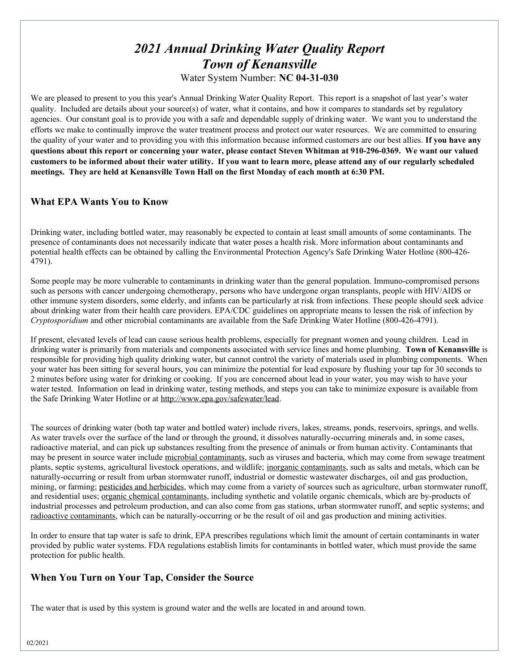# *2021 Annual Drinking Water Quality Report Town of Kenansville*

Water System Number: **NC 04-31-030**

We are pleased to present to you this year's Annual Drinking Water Quality Report. This report is a snapshot of last year's water quality. Included are details about your source(s) of water, what it contains, and how it compares to standards set by regulatory agencies. Our constant goal is to provide you with a safe and dependable supply of drinking water. We want you to understand the efforts we make to continually improve the water treatment process and protect our water resources. We are committed to ensuring the quality of your water and to providing you with this information because informed customers are our best allies. **If you have any questions about this report or concerning your water, please contact Steven Whitman at 910-296-0369. We want our valued customers to be informed about their water utility. If you want to learn more, please attend any of our regularly scheduled meetings. They are held at Kenansville Town Hall on the first Monday of each month at 6:30 PM.**

## **What EPA Wants You to Know**

Drinking water, including bottled water, may reasonably be expected to contain at least small amounts of some contaminants. The presence of contaminants does not necessarily indicate that water poses a health risk. More information about contaminants and potential health effects can be obtained by calling the Environmental Protection Agency's Safe Drinking Water Hotline (800-426- 4791).

Some people may be more vulnerable to contaminants in drinking water than the general population. Immuno-compromised persons such as persons with cancer undergoing chemotherapy, persons who have undergone organ transplants, people with HIV/AIDS or other immune system disorders, some elderly, and infants can be particularly at risk from infections. These people should seek advice about drinking water from their health care providers. EPA/CDC guidelines on appropriate means to lessen the risk of infection by *Cryptosporidium* and other microbial contaminants are available from the Safe Drinking Water Hotline (800-426-4791).

If present, elevated levels of lead can cause serious health problems, especially for pregnant women and young children. Lead in drinking water is primarily from materials and components associated with service lines and home plumbing. **Town of Kenansville** is responsible for providing high quality drinking water, but cannot control the variety of materials used in plumbing components. When your water has been sitting for several hours, you can minimize the potential for lead exposure by flushing your tap for 30 seconds to 2 minutes before using water for drinking or cooking. If you are concerned about lead in your water, you may wish to have your water tested. Information on lead in drinking water, testing methods, and steps you can take to minimize exposure is available from the Safe Drinking Water Hotline or at http://www.epa.gov/safewater/lead.

The sources of drinking water (both tap water and bottled water) include rivers, lakes, streams, ponds, reservoirs, springs, and wells. As water travels over the surface of the land or through the ground, it dissolves naturally-occurring minerals and, in some cases, radioactive material, and can pick up substances resulting from the presence of animals or from human activity. Contaminants that may be present in source water include microbial contaminants, such as viruses and bacteria, which may come from sewage treatment plants, septic systems, agricultural livestock operations, and wildlife; inorganic contaminants, such as salts and metals, which can be naturally-occurring or result from urban stormwater runoff, industrial or domestic wastewater discharges, oil and gas production, mining, or farming; pesticides and herbicides, which may come from a variety of sources such as agriculture, urban stormwater runoff, and residential uses; <u>organic chemical contaminants</u>, including synthetic and volatile organic chemicals, which are by-products of industrial processes and petroleum production, and can also come from gas stations, urban stormwater runoff, and septic systems; and radioactive contaminants, which can be naturally-occurring or be the result of oil and gas production and mining activities.

In order to ensure that tap water is safe to drink, EPA prescribes regulations which limit the amount of certain contaminants in water provided by public water systems. FDA regulations establish limits for contaminants in bottled water, which must provide the same protection for public health.

## **When You Turn on Your Tap, Consider the Source**

The water that is used by this system is ground water and the wells are located in and around town.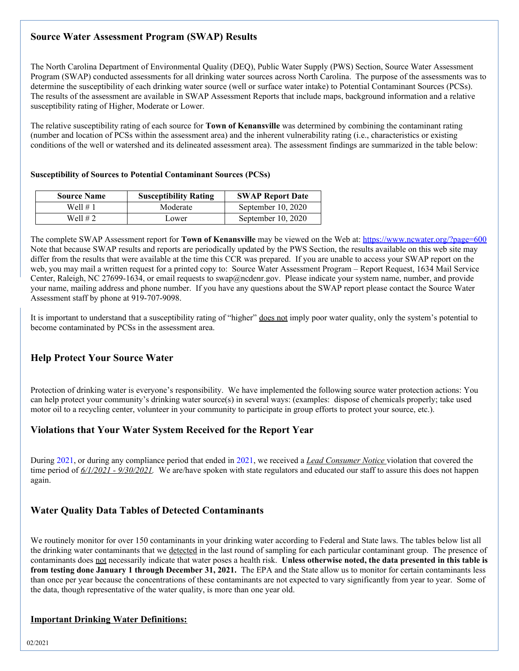## **Source Water Assessment Program (SWAP) Results**

The North Carolina Department of Environmental Quality (DEQ), Public Water Supply (PWS) Section, Source Water Assessment Program (SWAP) conducted assessments for all drinking water sources across North Carolina. The purpose of the assessments was to determine the susceptibility of each drinking water source (well or surface water intake) to Potential Contaminant Sources (PCSs). The results of the assessment are available in SWAP Assessment Reports that include maps, background information and a relative susceptibility rating of Higher, Moderate or Lower.

The relative susceptibility rating of each source for **Town of Kenansville** was determined by combining the contaminant rating (number and location of PCSs within the assessment area) and the inherent vulnerability rating (i.e., characteristics or existing conditions of the well or watershed and its delineated assessment area). The assessment findings are summarized in the table below:

#### **Susceptibility of Sources to Potential Contaminant Sources (PCSs)**

| <b>Source Name</b> | <b>Susceptibility Rating</b> | <b>SWAP Report Date</b> |  |
|--------------------|------------------------------|-------------------------|--|
| Well # 1           | Moderate                     | September 10, 2020      |  |
| Well $#2$          | Lower                        | September 10, 2020      |  |

The complete SWAP Assessment report for **Town of Kenansville** may be viewed on the Web at: https://www.ncwater.org/?page=600 Note that because SWAP results and reports are periodically updated by the PWS Section, the results available on this web site may differ from the results that were available at the time this CCR was prepared. If you are unable to access your SWAP report on the web, you may mail a written request for a printed copy to: Source Water Assessment Program – Report Request, 1634 Mail Service Center, Raleigh, NC 27699-1634, or email requests to swap@ncdenr.gov. Please indicate your system name, number, and provide your name, mailing address and phone number. If you have any questions about the SWAP report please contact the Source Water Assessment staff by phone at 919-707-9098.

It is important to understand that a susceptibility rating of "higher" does not imply poor water quality, only the system's potential to become contaminated by PCSs in the assessment area.

## **Help Protect Your Source Water**

Protection of drinking water is everyone's responsibility. We have implemented the following source water protection actions: You can help protect your community's drinking water source(s) in several ways: (examples: dispose of chemicals properly; take used motor oil to a recycling center, volunteer in your community to participate in group efforts to protect your source, etc.).

### **Violations that Your Water System Received for the Report Year**

During 2021, or during any compliance period that ended in 2021, we received a *Lead Consumer Notice* violation that covered the time period of *6/1/2021 - 9/30/2021.* We are/have spoken with state regulators and educated our staff to assure this does not happen again.

#### **Water Quality Data Tables of Detected Contaminants**

We routinely monitor for over 150 contaminants in your drinking water according to Federal and State laws. The tables below list all the drinking water contaminants that we detected in the last round of sampling for each particular contaminant group. The presence of contaminants does not necessarily indicate that water poses a health risk. **Unless otherwise noted, the data presented in this table is from testing done January 1 through December 31, 2021.** The EPA and the State allow us to monitor for certain contaminants less than once per year because the concentrations of these contaminants are not expected to vary significantly from year to year. Some of the data, though representative of the water quality, is more than one year old.

#### **Important Drinking Water Definitions:**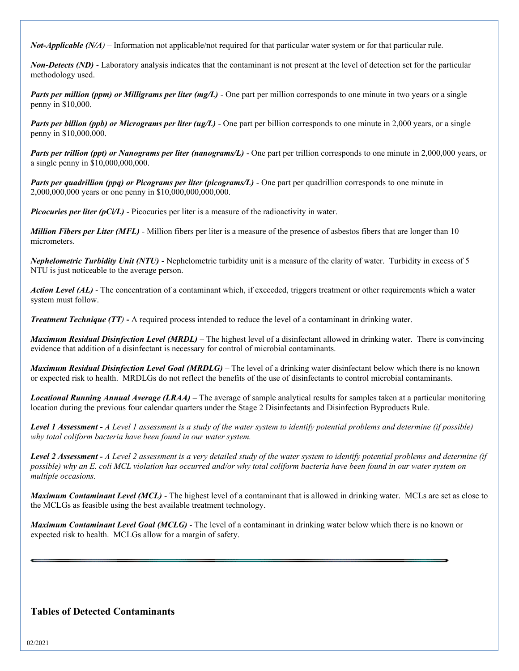*Not-Applicable (N/A)* – Information not applicable/not required for that particular water system or for that particular rule.

*Non-Detects (ND)* - Laboratory analysis indicates that the contaminant is not present at the level of detection set for the particular methodology used.

*Parts per million (ppm) or Milligrams per liter (mg/L)* - One part per million corresponds to one minute in two years or a single penny in \$10,000.

*Parts per billion (ppb) or Micrograms per liter (ug/L)* - One part per billion corresponds to one minute in 2,000 years, or a single penny in \$10,000,000.

*Parts per trillion (ppt) or Nanograms per liter (nanograms/L)* - One part per trillion corresponds to one minute in 2,000,000 years, or a single penny in \$10,000,000,000.

*Parts per quadrillion (ppq) or Picograms per liter (picograms/L)* - One part per quadrillion corresponds to one minute in 2,000,000,000 years or one penny in \$10,000,000,000,000.

*Picocuries per liter (pCi/L)* - Picocuries per liter is a measure of the radioactivity in water.

*Million Fibers per Liter (MFL)* - Million fibers per liter is a measure of the presence of asbestos fibers that are longer than 10 micrometers.

*Nephelometric Turbidity Unit (NTU)* - Nephelometric turbidity unit is a measure of the clarity of water. Turbidity in excess of 5 NTU is just noticeable to the average person.

*Action Level (AL) -* The concentration of a contaminant which, if exceeded, triggers treatment or other requirements which a water system must follow.

*Treatment Technique (TT)* **-** A required process intended to reduce the level of a contaminant in drinking water.

*Maximum Residual Disinfection Level (MRDL)* – The highest level of a disinfectant allowed in drinking water. There is convincing evidence that addition of a disinfectant is necessary for control of microbial contaminants.

*Maximum Residual Disinfection Level Goal (MRDLG)* – The level of a drinking water disinfectant below which there is no known or expected risk to health. MRDLGs do not reflect the benefits of the use of disinfectants to control microbial contaminants.

*Locational Running Annual Average (LRAA)* – The average of sample analytical results for samples taken at a particular monitoring location during the previous four calendar quarters under the Stage 2 Disinfectants and Disinfection Byproducts Rule.

*Level 1 Assessment - A Level 1 assessment is a study of the water system to identify potential problems and determine (if possible) why total coliform bacteria have been found in our water system.*

*Level 2 Assessment - A Level 2 assessment is a very detailed study of the water system to identify potential problems and determine (if possible) why an E. coli MCL violation has occurred and/or why total coliform bacteria have been found in our water system on multiple occasions.*

*Maximum Contaminant Level (MCL)* - The highest level of a contaminant that is allowed in drinking water. MCLs are set as close to the MCLGs as feasible using the best available treatment technology.

*Maximum Contaminant Level Goal (MCLG)* - The level of a contaminant in drinking water below which there is no known or expected risk to health. MCLGs allow for a margin of safety.

#### **Tables of Detected Contaminants**